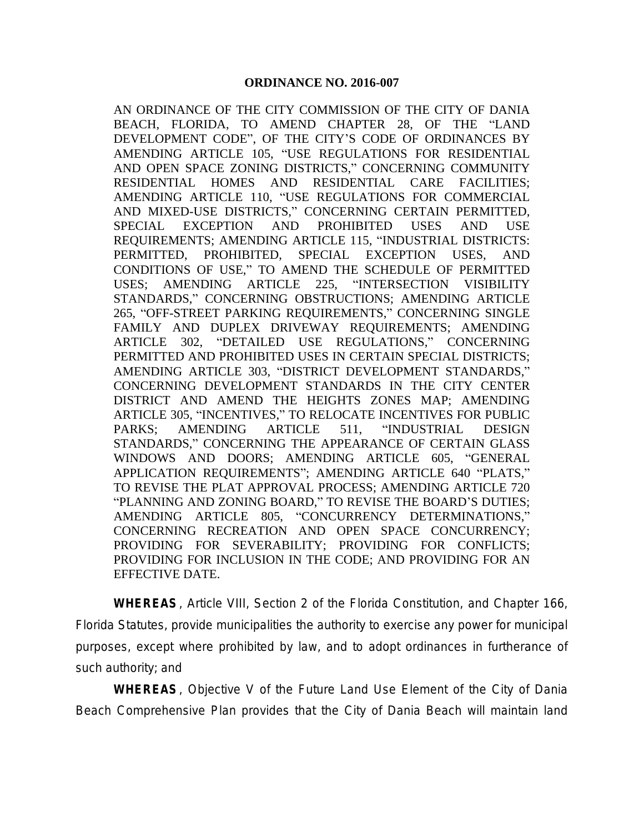AN ORDINANCE OF THE CITY COMMISSION OF THE CITY OF DANIA BEACH, FLORIDA, TO AMEND CHAPTER 28, OF THE "LAND DEVELOPMENT CODE", OF THE CITY'S CODE OF ORDINANCES BY AMENDING ARTICLE 105, "USE REGULATIONS FOR RESIDENTIAL AND OPEN SPACE ZONING DISTRICTS," CONCERNING COMMUNITY RESIDENTIAL HOMES AND RESIDENTIAL CARE FACILITIES; AMENDING ARTICLE 110, "USE REGULATIONS FOR COMMERCIAL AND MIXED-USE DISTRICTS," CONCERNING CERTAIN PERMITTED, SPECIAL EXCEPTION AND PROHIBITED USES AND USE REQUIREMENTS; AMENDING ARTICLE 115, "INDUSTRIAL DISTRICTS: PERMITTED, PROHIBITED, SPECIAL EXCEPTION USES, AND CONDITIONS OF USE," TO AMEND THE SCHEDULE OF PERMITTED USES; AMENDING ARTICLE 225, "INTERSECTION VISIBILITY STANDARDS," CONCERNING OBSTRUCTIONS; AMENDING ARTICLE 265, "OFF-STREET PARKING REQUIREMENTS," CONCERNING SINGLE FAMILY AND DUPLEX DRIVEWAY REQUIREMENTS; AMENDING ARTICLE 302, "DETAILED USE REGULATIONS," CONCERNING PERMITTED AND PROHIBITED USES IN CERTAIN SPECIAL DISTRICTS; AMENDING ARTICLE 303, "DISTRICT DEVELOPMENT STANDARDS," CONCERNING DEVELOPMENT STANDARDS IN THE CITY CENTER DISTRICT AND AMEND THE HEIGHTS ZONES MAP; AMENDING ARTICLE 305, "INCENTIVES," TO RELOCATE INCENTIVES FOR PUBLIC PARKS; AMENDING ARTICLE 511, "INDUSTRIAL DESIGN STANDARDS," CONCERNING THE APPEARANCE OF CERTAIN GLASS WINDOWS AND DOORS; AMENDING ARTICLE 605, "GENERAL APPLICATION REQUIREMENTS"; AMENDING ARTICLE 640 "PLATS," TO REVISE THE PLAT APPROVAL PROCESS; AMENDING ARTICLE 720 "PLANNING AND ZONING BOARD," TO REVISE THE BOARD'S DUTIES; AMENDING ARTICLE 805, "CONCURRENCY DETERMINATIONS," CONCERNING RECREATION AND OPEN SPACE CONCURRENCY; PROVIDING FOR SEVERABILITY; PROVIDING FOR CONFLICTS; PROVIDING FOR INCLUSION IN THE CODE; AND PROVIDING FOR AN EFFECTIVE DATE.

**WHEREAS**, Article VIII, Section 2 of the Florida Constitution, and Chapter 166, Florida Statutes, provide municipalities the authority to exercise any power for municipal purposes, except where prohibited by law, and to adopt ordinances in furtherance of such authority; and

**WHEREAS**, Objective V of the Future Land Use Element of the City of Dania Beach Comprehensive Plan provides that the City of Dania Beach will maintain land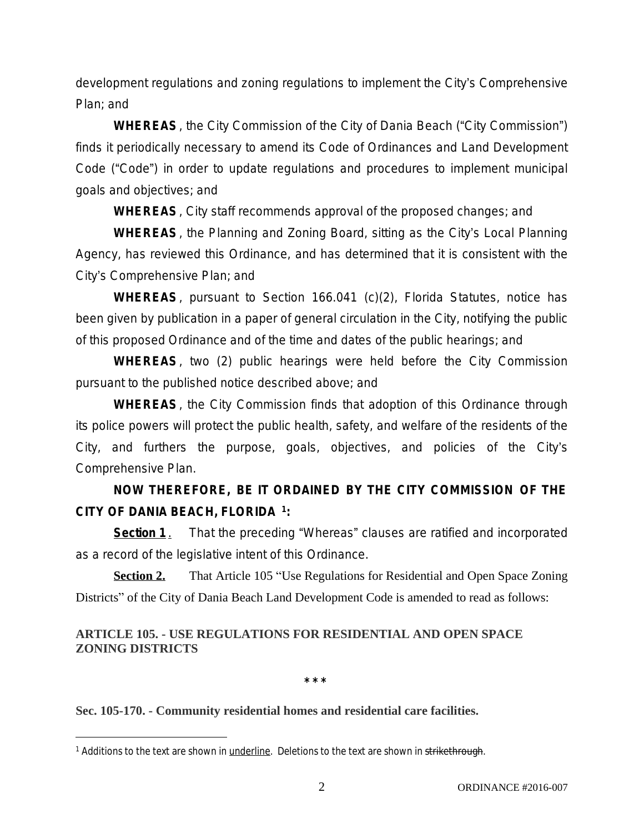development regulations and zoning regulations to implement the City's Comprehensive Plan; and

**WHEREAS**, the City Commission of the City of Dania Beach ("City Commission") finds it periodically necessary to amend its Code of Ordinances and Land Development Code ("Code") in order to update regulations and procedures to implement municipal goals and objectives; and

**WHEREAS**, City staff recommends approval of the proposed changes; and

**WHEREAS**, the Planning and Zoning Board, sitting as the City's Local Planning Agency, has reviewed this Ordinance, and has determined that it is consistent with the City's Comprehensive Plan; and

**WHEREAS**, pursuant to Section 166.041 (c)(2), Florida Statutes, notice has been given by publication in a paper of general circulation in the City, notifying the public of this proposed Ordinance and of the time and dates of the public hearings; and

**WHEREAS**, two (2) public hearings were held before the City Commission pursuant to the published notice described above; and

**WHEREAS**, the City Commission finds that adoption of this Ordinance through its police powers will protect the public health, safety, and welfare of the residents of the City, and furthers the purpose, goals, objectives, and policies of the City's Comprehensive Plan.

# **NOW THEREFORE, BE IT ORDAINED BY THE CITY COMMISSION OF THE CITY OF DANIA BEACH, FLORIDA <sup>1</sup> :**

**Section 1**. That the preceding "Whereas" clauses are ratified and incorporated as a record of the legislative intent of this Ordinance.

**Section 2.** That Article 105 "Use Regulations for Residential and Open Space Zoning Districts" of the City of Dania Beach Land Development Code is amended to read as follows:

# **ARTICLE 105. - USE REGULATIONS FOR RESIDENTIAL AND OPEN SPACE ZONING DISTRICTS**

**\* \* \***

Sec. 105-170. - Community residential homes and residential care facilities.

<sup>&</sup>lt;sup>1</sup> Additions to the text are shown in <u>underline</u>. Deletions to the text are shown in <del>strikethrough</del>.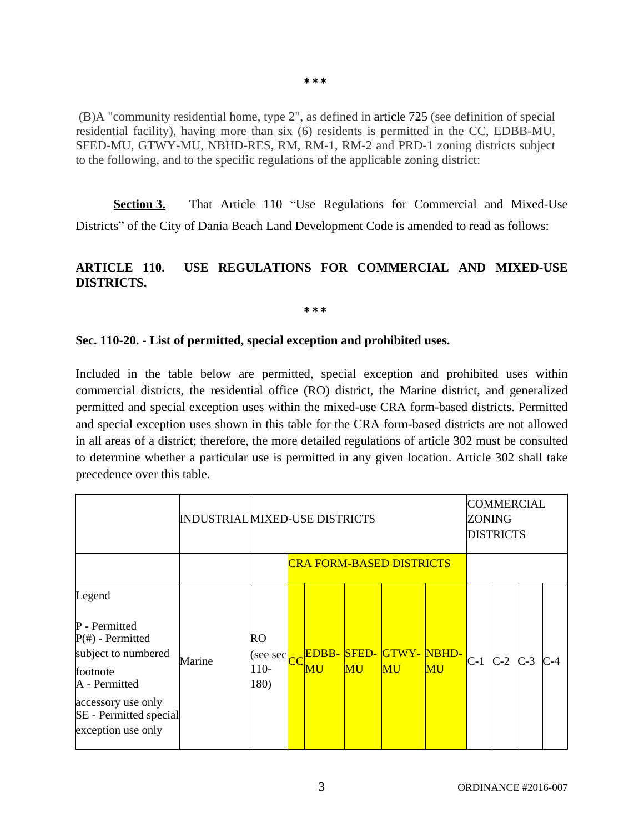(B)A "community residential home, type 2", as defined in article 725 (see definition of special residential facility), having more than six (6) residents is permitted in the CC, EDBB-MU, SFED-MU, GTWY-MU, NBHD-RES, RM, RM-1, RM-2 and PRD-1 zoning districts subject to the following, and to the specific regulations of the applicable zoning district:

**Section 3.** That Article 110 "Use Regulations for Commercial and Mixed-Use Districts" of the City of Dania Beach Land Development Code is amended to read as follows:

# **ARTICLE 110. USE REGULATIONS FOR COMMERCIAL AND MIXED-USE DISTRICTS.**

**\* \* \***

### **Sec. 110-20. - List of permitted, special exception and prohibited uses.**

Included in the table below are permitted, special exception and prohibited uses within commercial districts, the residential office (RO) district, the Marine district, and generalized permitted and special exception uses within the mixed-use CRA form-based districts. Permitted and special exception uses shown in this table for the CRA form-based districts are not allowed in all areas of a district; therefore, the more detailed regulations of [article](https://www.municode.com/library/fl/dania_beach/codes/code_of_ordinances?nodeId=PTIICOOR_CH28LADECO_SP1COREARCRFOSEZODI_ART302DEUSRE) 302 must be consulted to determine whether a particular use is permitted in any given location. Article 302 shall take precedence over this table.

|                                                                                                                                                                          |        | <b>INDUSTRIAL MIXED-USE DISTRICTS</b> |                        |                    |                                          |                         |                        |       | <b>COMMERCIAL</b><br>ZONING<br><b>DISTRICTS</b> |  |       |  |
|--------------------------------------------------------------------------------------------------------------------------------------------------------------------------|--------|---------------------------------------|------------------------|--------------------|------------------------------------------|-------------------------|------------------------|-------|-------------------------------------------------|--|-------|--|
|                                                                                                                                                                          |        | <b>CRA FORM-BASED DISTRICTS</b>       |                        |                    |                                          |                         |                        |       |                                                 |  |       |  |
| Legend<br>P - Permitted<br>$P(\#)$ - Permitted<br>subject to numbered<br>footnote<br>A - Permitted<br>accessory use only<br>SE - Permitted special<br>exception use only | Marine | RO<br>(see sec<br>110-<br>180)        | $\overline{\text{CC}}$ | <b>EDBB-</b><br>MU | <b>SFED-</b><br>$\overline{\mathrm{MU}}$ | <b>GTWY-NBHD-</b><br>MU | $\mathbf{M}\mathbf{U}$ | $C-1$ | $C-2$ $C-3$                                     |  | $C-4$ |  |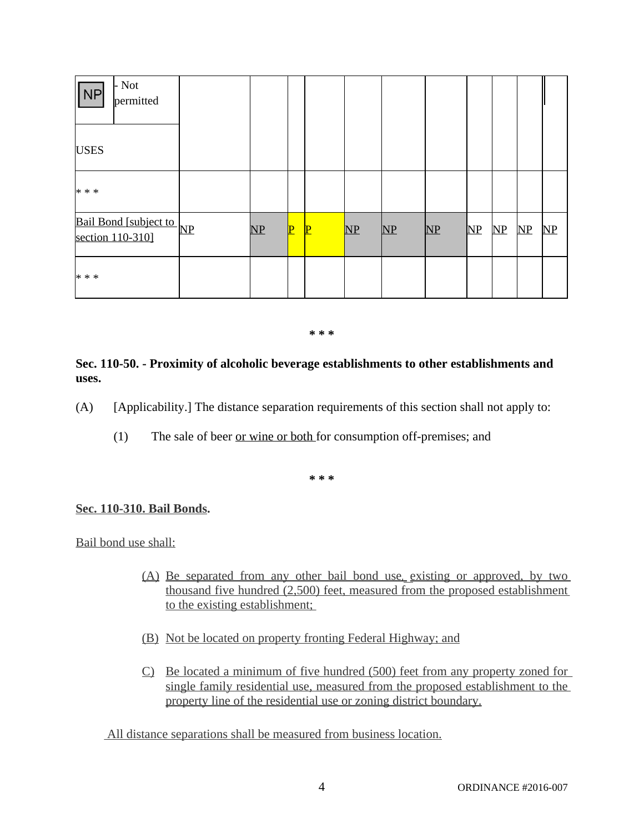| - Not<br>NP<br>permitted                     |    |              |              |               |               |               |               |                        |               |               |
|----------------------------------------------|----|--------------|--------------|---------------|---------------|---------------|---------------|------------------------|---------------|---------------|
| <b>USES</b>                                  |    |              |              |               |               |               |               |                        |               |               |
| $* * *$                                      |    |              |              |               |               |               |               |                        |               |               |
| Bail Bond [subject to NP<br>section 110-310] | NP | $\mathbf{P}$ | $\mathbf{P}$ | $\mathbf{NP}$ | $\mathbf{NP}$ | $\mathbf{NP}$ | $\mathbf{NP}$ | $\overline{\text{MP}}$ | $\mathbf{NP}$ | $\mathbf{NP}$ |
| $* * *$                                      |    |              |              |               |               |               |               |                        |               |               |

### **Sec. 110-50. - Proximity of alcoholic beverage establishments to other establishments and uses.**

- (A) [Applicability.] The distance separation requirements of this section shall not apply to:
	- (1) The sale of beer or wine or both for consumption off-premises; and

**\* \* \***

### **Sec. 110-310. Bail Bonds.**

Bail bond use shall:

- (A) Be separated from any other bail bond use, existing or approved, by two thousand five hundred (2,500) feet, measured from the proposed establishment to the existing establishment;
- (B) Not be located on property fronting Federal Highway; and
- C) Be located a minimum of five hundred (500) feet from any property zoned for single family residential use, measured from the proposed establishment to the property line of the residential use or zoning district boundary.

All distance separations shall be measured from business location.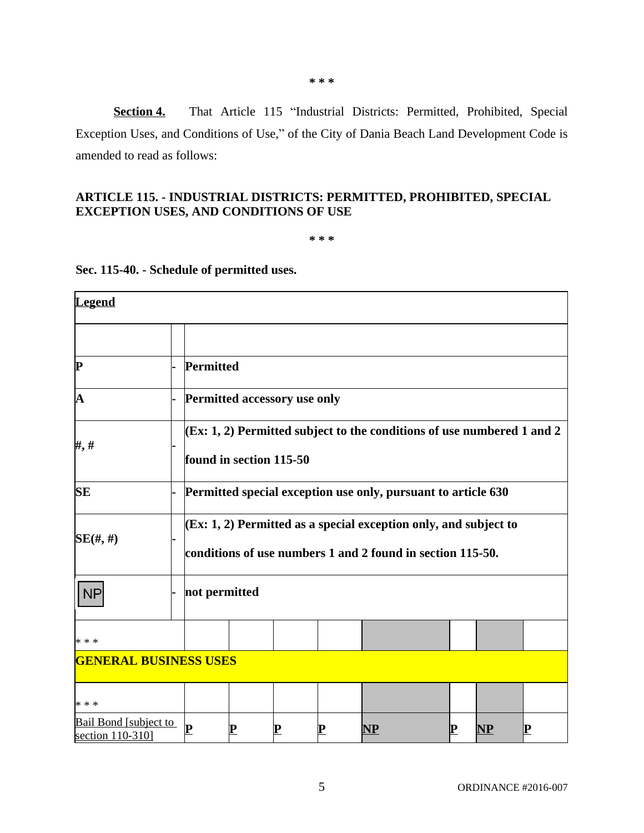| P                                         |                                                                        | Permitted                                                     |             |           |             |                                                                    |             |           |             |  |  |
|-------------------------------------------|------------------------------------------------------------------------|---------------------------------------------------------------|-------------|-----------|-------------|--------------------------------------------------------------------|-------------|-----------|-------------|--|--|
| A                                         |                                                                        | Permitted accessory use only                                  |             |           |             |                                                                    |             |           |             |  |  |
| ###                                       | (Ex: 1, 2) Permitted subject to the conditions of use numbered 1 and 2 |                                                               |             |           |             |                                                                    |             |           |             |  |  |
|                                           |                                                                        | found in section 115-50                                       |             |           |             |                                                                    |             |           |             |  |  |
| <b>SE</b>                                 |                                                                        | Permitted special exception use only, pursuant to article 630 |             |           |             |                                                                    |             |           |             |  |  |
| $SE(\text{#}, \text{#})$                  |                                                                        |                                                               |             |           |             | $(Ex: 1, 2)$ Permitted as a special exception only, and subject to |             |           |             |  |  |
|                                           |                                                                        |                                                               |             |           |             | conditions of use numbers 1 and 2 found in section 115-50.         |             |           |             |  |  |
| <b>NP</b>                                 | not permitted                                                          |                                                               |             |           |             |                                                                    |             |           |             |  |  |
| * * *                                     |                                                                        |                                                               |             |           |             |                                                                    |             |           |             |  |  |
| <b>GENERAL BUSINESS USES</b>              |                                                                        |                                                               |             |           |             |                                                                    |             |           |             |  |  |
| * * *                                     |                                                                        |                                                               |             |           |             |                                                                    |             |           |             |  |  |
| Bail Bond [subject to<br>section 110-310] |                                                                        | ${\bf P}$                                                     | $\mathbf P$ | ${\bf P}$ | $\mathbf P$ | $\bf NP$                                                           | $\mathbf P$ | <b>NP</b> | $\mathbf P$ |  |  |

# **Sec. 115-40. - Schedule of permitted uses.**

**EXCEPTION USES, AND CONDITIONS OF USE**

amended to read as follows:

**Legend**

#### **\* \* \***

Exception Uses, and Conditions of Use," of the City of Dania Beach Land Development Code is

**ARTICLE 115. - INDUSTRIAL DISTRICTS: PERMITTED, PROHIBITED, SPECIAL** 

**\* \* \***

**Section 4.** That Article 115 "Industrial Districts: Permitted, Prohibited, Special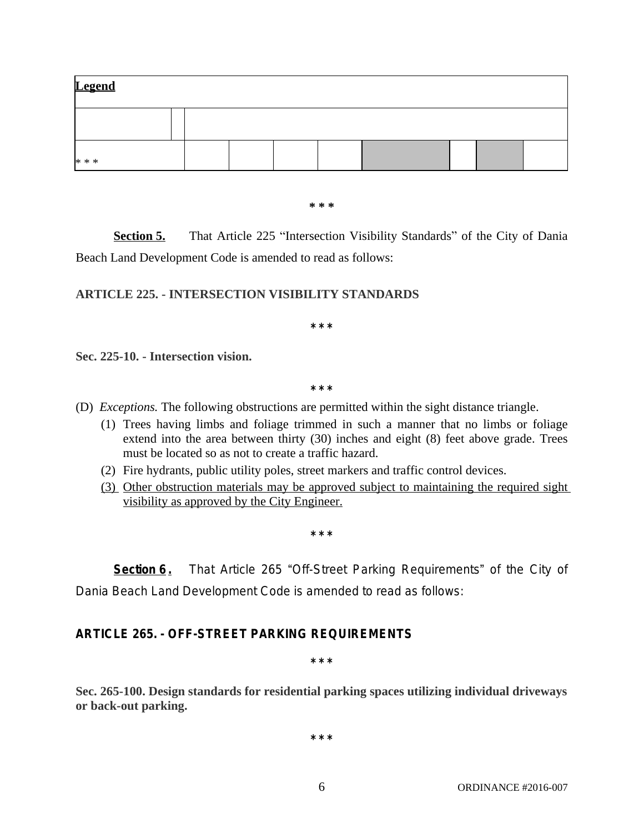| <b>Legend</b> |  |  |  |  |  |
|---------------|--|--|--|--|--|
|               |  |  |  |  |  |
| * * *         |  |  |  |  |  |

**Section 5.** That Article 225 "Intersection Visibility Standards" of the City of Dania Beach Land Development Code is amended to read as follows:

### **ARTICLE 225. - INTERSECTION VISIBILITY STANDARDS**

**\* \* \***

Sec. 225-10. - Intersection vision.

**\* \* \***

- (D) *Exceptions.* The following obstructions are permitted within the sight distance triangle.
	- (1) Trees having limbs and foliage trimmed in such a manner that no limbs or foliage extend into the area between thirty (30) inches and eight (8) feet above grade. Trees must be located so as not to create a traffic hazard.
	- (2) Fire hydrants, public utility poles, street markers and traffic control devices.
	- (3) Other obstruction materials may be approved subject to maintaining the required sight visibility as approved by the City Engineer.

**\* \* \***

**Section 6**. That Article 265 "Off-Street Parking Requirements" of the City of Dania Beach Land Development Code is amended to read as follows:

# **ARTICLE 265. - OFF-STREET PARKING REQUIREMENTS**

**\* \* \***

**Sec. 265-100. Design standards for residential parking spaces utilizing individual driveways or back-out parking.**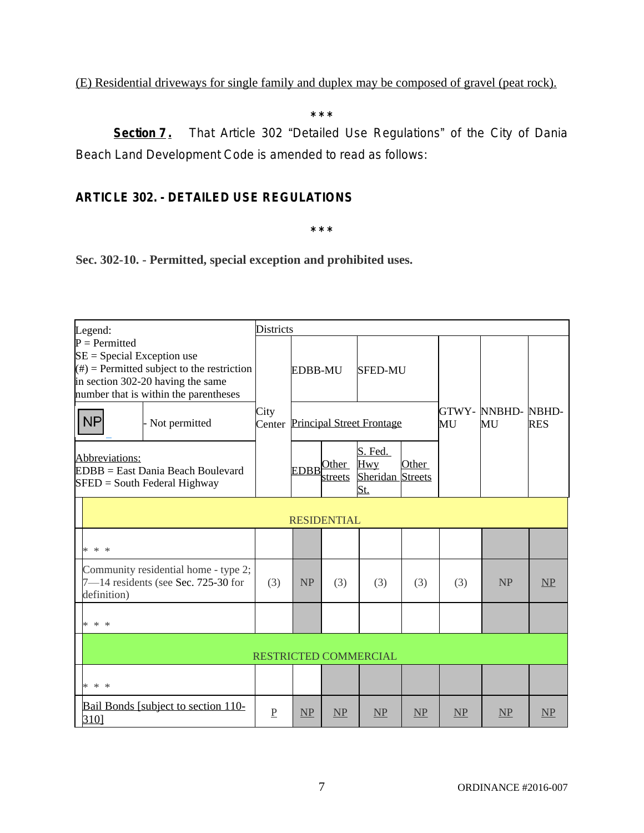# (E) Residential driveways for single family and duplex may be composed of gravel (peat rock).

**\* \* \***

**Section 7.** That Article 302 "Detailed Use Regulations" of the City of Dania Beach Land Development Code is amended to read as follows:

# **ARTICLE 302. - DETAILED USE REGULATIONS**

**\* \* \***

**Sec. 302-10. - Permitted, special exception and prohibited uses.**

| Legend:                                                                                                                                                                        | <b>Districts</b> |           |                        |                                                  |       |     |                          |            |  |  |
|--------------------------------------------------------------------------------------------------------------------------------------------------------------------------------|------------------|-----------|------------------------|--------------------------------------------------|-------|-----|--------------------------|------------|--|--|
| $P = Permitted$<br>$SE = Special Exception use$<br>$(\#)$ = Permitted subject to the restriction<br>in section 302-20 having the same<br>number that is within the parentheses |                  | EDBB-MU   |                        | <b>SFED-MU</b>                                   |       |     |                          |            |  |  |
| <b>NP</b><br>Not permitted                                                                                                                                                     | City<br>Center   |           |                        | <b>Principal Street Frontage</b>                 |       | MU  | GTWY- NNBHD- NBHD-<br>MU | <b>RES</b> |  |  |
| Abbreviations:<br>$EDBB = East Dania Beach Boulevard$<br>$SFED = South Federal Highway$                                                                                        |                  |           | EDBB Other<br>streets  | S. Fed.<br><b>Hwy</b><br>Sheridan Streets<br>St. | Other |     |                          |            |  |  |
| <b>RESIDENTIAL</b>                                                                                                                                                             |                  |           |                        |                                                  |       |     |                          |            |  |  |
| * * *                                                                                                                                                                          |                  |           |                        |                                                  |       |     |                          |            |  |  |
| Community residential home - type 2;<br>$7 - 14$ residents (see Sec. 725-30 for<br>definition)                                                                                 | (3)              | <b>NP</b> | (3)                    | (3)                                              | (3)   | (3) | <b>NP</b>                | NP         |  |  |
| * * *                                                                                                                                                                          |                  |           |                        |                                                  |       |     |                          |            |  |  |
| RESTRICTED COMMERCIAL                                                                                                                                                          |                  |           |                        |                                                  |       |     |                          |            |  |  |
| * * *                                                                                                                                                                          |                  |           |                        |                                                  |       |     |                          |            |  |  |
| Bail Bonds [subject to section 110-<br>310]                                                                                                                                    | $\underline{P}$  | NP        | $\overline{\text{MP}}$ | NP                                               | NP    | NP  | NP                       | NP         |  |  |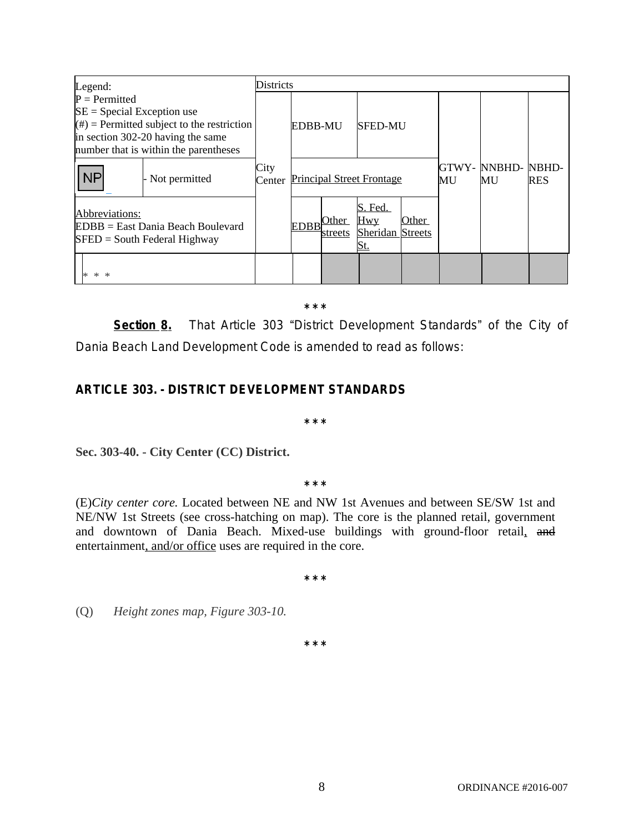| Legend:                                                                                                                                                                        |                 | Districts      |                |                  |                                                         |       |                           |                     |  |  |
|--------------------------------------------------------------------------------------------------------------------------------------------------------------------------------|-----------------|----------------|----------------|------------------|---------------------------------------------------------|-------|---------------------------|---------------------|--|--|
| $P = Permitted$<br>$SE = Special Exception use$<br>$(\#)$ = Permitted subject to the restriction<br>in section 302-20 having the same<br>number that is within the parentheses |                 |                | <b>EDBB-MU</b> |                  | <b>SFED-MU</b>                                          |       |                           |                     |  |  |
| <b>NP</b>                                                                                                                                                                      | - Not permitted | City<br>Center |                |                  | <b>Principal Street Frontage</b>                        | MU    | <b>GTWY- NNBHD-</b><br>MU | NBHD-<br><b>RES</b> |  |  |
| Abbreviations:<br>EDBB = East Dania Beach Boulevard<br>$SFED = South Federal Highway$                                                                                          |                 |                | <b>EDBB</b>    | Other<br>streets | S. Fed.<br><b>Hwy</b><br><b>Sheridan Streets</b><br>St. | Other |                           |                     |  |  |
| ∗<br>$*$<br>$\ast$                                                                                                                                                             |                 |                |                |                  |                                                         |       |                           |                     |  |  |

**Section 8.** That Article 303 "District Development Standards" of the City of Dania Beach Land Development Code is amended to read as follows:

# **ARTICLE 303. - DISTRICT DEVELOPMENT STANDARDS**

**\* \* \***

Sec. 303-40. - City Center (CC) District.

**\* \* \***

(E)*City center core.* Located between NE and NW 1st Avenues and between SE/SW 1st and NE/NW 1st Streets (see cross-hatching on map). The core is the planned retail, government and downtown of Dania Beach. Mixed-use buildings with ground-floor retail, and entertainment, and/or office uses are required in the core.

**\* \* \***

(Q) *Height zones map, Figure 303-10.*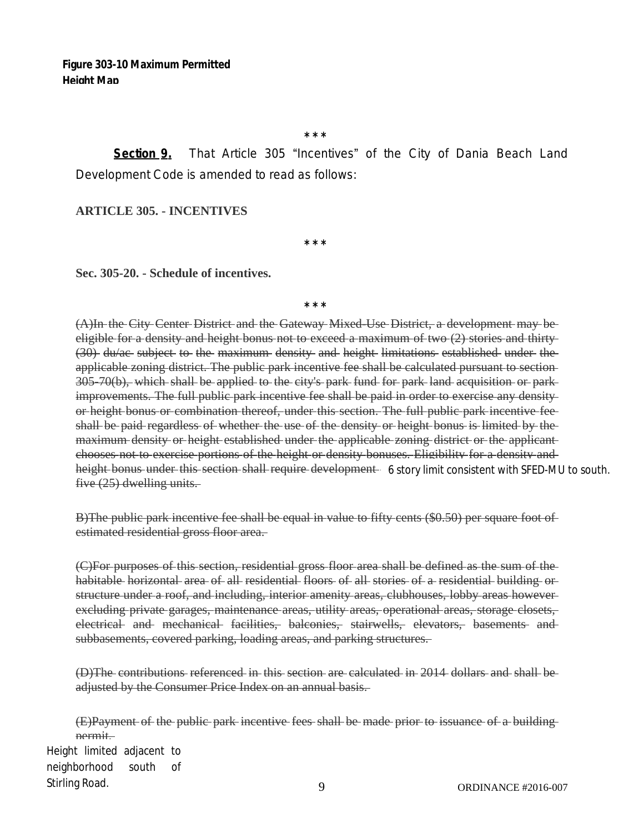**Section 9.** That Article 305 "Incentives" of the City of Dania Beach Land Development Code is amended to read as follows:

**ARTICLE 305. - INCENTIVES**

**\* \* \***

### **Sec. 305-20. - Schedule of incentives.**

**\* \* \***

(A)In the City Center District and the Gateway Mixed-Use District, a development may be eligible for a density and height bonus not to exceed a maximum of two (2) stories and thirty (30) du/ac subject to the maximum density and height limitations established under the applicable zoning district. The public park incentive fee shall be calculated pursuant to section 305-70(b), which shall be applied to the city's park fund for park land acquisition or park improvements. The full public park incentive fee shall be paid in order to exercise any density or height bonus or combination thereof, under this section. The full public park incentive fee shall be paid regardless of whether the use of the density or height bonus is limited by the maximum density or height established under the applicable zoning district or the applicant chooses not to exercise portions of the height or density bonuses. Eligibility for a density and he<del>ight bonus under this section shall require development</del> 6 story limit consistent with SFED-MU to south. five (25) dwelling units.

B)The public park incentive fee shall be equal in value to fifty cents (\$0.50) per square foot of estimated residential gross floor area.

(C)For purposes of this section, residential gross floor area shall be defined as the sum of the habitable horizontal area of all residential floors of all stories of a residential building or structure under a roof, and including, interior amenity areas, clubhouses, lobby areas however excluding private garages, maintenance areas, utility areas, operational areas, storage closets, electrical and mechanical facilities, balconies, stairwells, elevators, basements and subbasements, covered parking, loading areas, and parking structures.

(D)The contributions referenced in this section are calculated in 2014 dollars and shall be adjusted by the Consumer Price Index on an annual basis.

(E)Payment of the public park incentive fees shall be made prior to issuance of a building permit. Height limited adjacent to neighborhood south of Stirling Road.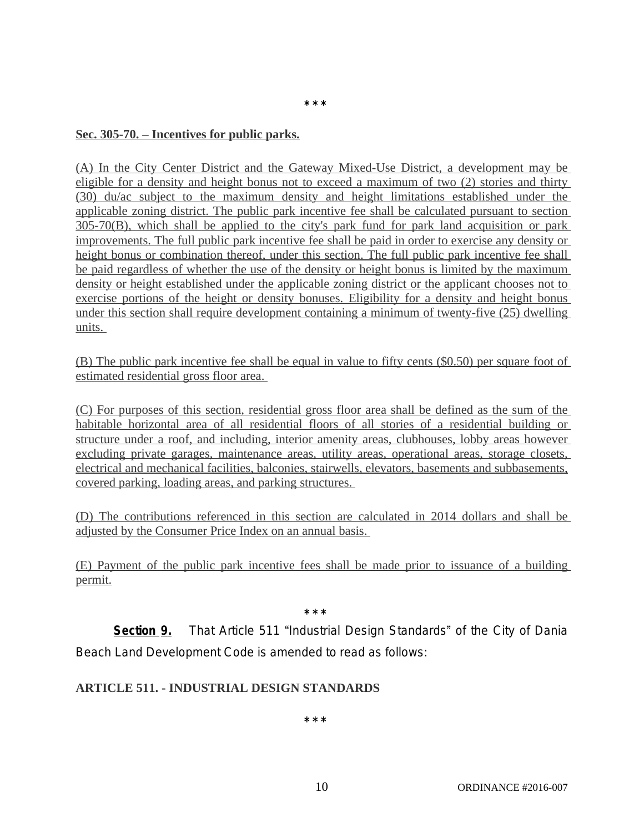### **Sec. 305-70. – Incentives for public parks.**

(A) In the City Center District and the Gateway Mixed-Use District, a development may be eligible for a density and height bonus not to exceed a maximum of two (2) stories and thirty (30) du/ac subject to the maximum density and height limitations established under the applicable zoning district. The public park incentive fee shall be calculated pursuant to section 305-70(B), which shall be applied to the city's park fund for park land acquisition or park improvements. The full public park incentive fee shall be paid in order to exercise any density or height bonus or combination thereof, under this section. The full public park incentive fee shall be paid regardless of whether the use of the density or height bonus is limited by the maximum density or height established under the applicable zoning district or the applicant chooses not to exercise portions of the height or density bonuses. Eligibility for a density and height bonus under this section shall require development containing a minimum of twenty-five (25) dwelling units.

**\* \* \***

(B) The public park incentive fee shall be equal in value to fifty cents (\$0.50) per square foot of estimated residential gross floor area.

(C) For purposes of this section, residential gross floor area shall be defined as the sum of the habitable horizontal area of all residential floors of all stories of a residential building or structure under a roof, and including, interior amenity areas, clubhouses, lobby areas however excluding private garages, maintenance areas, utility areas, operational areas, storage closets, electrical and mechanical facilities, balconies, stairwells, elevators, basements and subbasements, covered parking, loading areas, and parking structures.

(D) The contributions referenced in this section are calculated in 2014 dollars and shall be adjusted by the Consumer Price Index on an annual basis.

(E) Payment of the public park incentive fees shall be made prior to issuance of a building permit.

**\* \* \***

**Section 9.** That Article 511 "Industrial Design Standards" of the City of Dania Beach Land Development Code is amended to read as follows:

# **ARTICLE 511. - INDUSTRIAL DESIGN STANDARDS**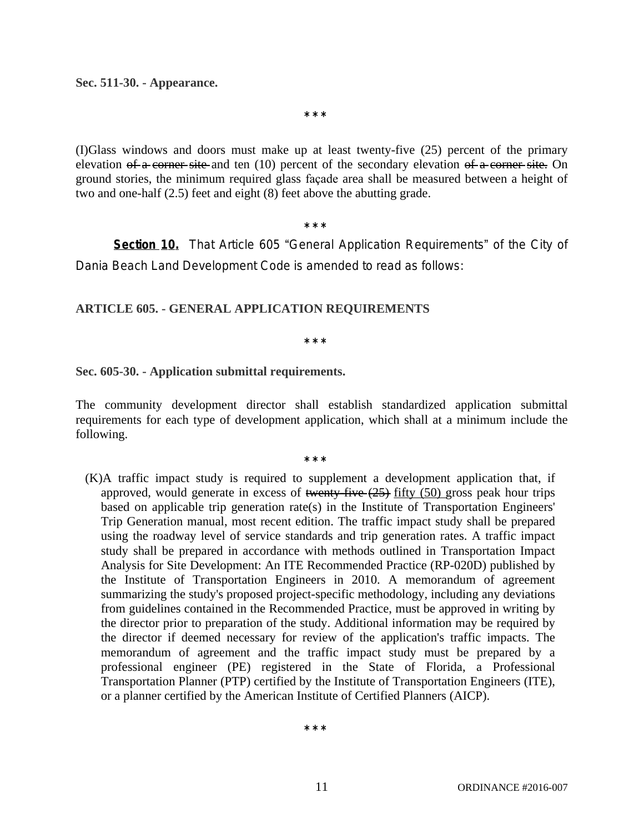#### **Sec. 511-30. - Appearance.**

**\* \* \***

(I)Glass windows and doors must make up at least twenty-five (25) percent of the primary elevation of a corner site and ten (10) percent of the secondary elevation of a corner site. On ground stories, the minimum required glass façade area shall be measured between a height of two and one-half (2.5) feet and eight (8) feet above the abutting grade.

**\* \* \***

**Section 10.** That Article 605 "General Application Requirements" of the City of Dania Beach Land Development Code is amended to read as follows:

### **ARTICLE 605. - GENERAL APPLICATION REQUIREMENTS**

**\* \* \***

#### **Sec. 605-30. - Application submittal requirements.**

The community development director shall establish standardized application submittal requirements for each type of development application, which shall at a minimum include the following.

**\* \* \***

(K)A traffic impact study is required to supplement a development application that, if approved, would generate in excess of twenty-five  $(25)$  fifty  $(50)$  gross peak hour trips based on applicable trip generation rate(s) in the Institute of Transportation Engineers' Trip Generation manual, most recent edition. The traffic impact study shall be prepared using the roadway level of service standards and trip generation rates. A traffic impact study shall be prepared in accordance with methods outlined in Transportation Impact Analysis for Site Development: An ITE Recommended Practice (RP-020D) published by the Institute of Transportation Engineers in 2010. A memorandum of agreement summarizing the study's proposed project-specific methodology, including any deviations from guidelines contained in the Recommended Practice, must be approved in writing by the director prior to preparation of the study. Additional information may be required by the director if deemed necessary for review of the application's traffic impacts. The memorandum of agreement and the traffic impact study must be prepared by a professional engineer (PE) registered in the State of Florida, a Professional Transportation Planner (PTP) certified by the Institute of Transportation Engineers (ITE), or a planner certified by the American Institute of Certified Planners (AICP).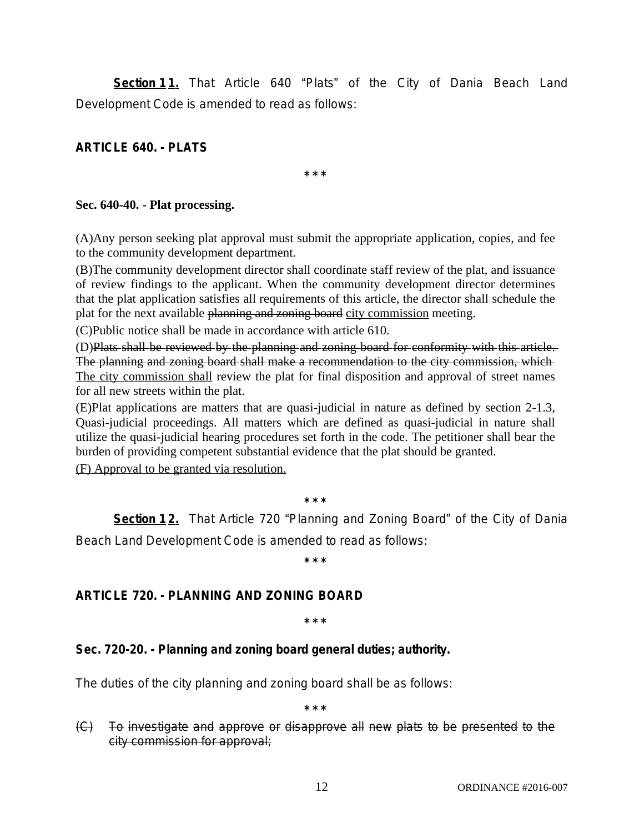**Section 11.** That Article 640 "Plats" of the City of Dania Beach Land Development Code is amended to read as follows:

**ARTICLE 640. - PLATS**

**\* \* \***

### **Sec. 640-40. - Plat processing.**

(A)Any person seeking plat approval must submit the appropriate application, copies, and fee to the community development department.

(B)The community development director shall coordinate staff review of the plat, and issuance of review findings to the applicant. When the community development director determines that the plat application satisfies all requirements of this article, the director shall schedule the plat for the next available planning and zoning board city commission meeting.

(C)Public notice shall be made in accordance with [article 610.](https://www.municode.com/library/fl/dania_beach/codes/code_of_ordinances?nodeId=PTIICOOR_CH28LADECO_PT6DEREPRRE_ART610PUHENO)

(D)Plats shall be reviewed by the planning and zoning board for conformity with this article. The planning and zoning board shall make a recommendation to the city commission, which The city commission shall review the plat for final disposition and approval of street names for all new streets within the plat.

(E)Plat applications are matters that are quasi-judicial in nature as defined by section 2-1.3, Quasi-judicial proceedings. All matters which are defined as quasi-judicial in nature shall utilize the quasi-judicial hearing procedures set forth in the code. The petitioner shall bear the burden of providing competent substantial evidence that the plat should be granted. (F) Approval to be granted via resolution.

**\* \* \***

**Section 12.** That Article 720 "Planning and Zoning Board" of the City of Dania Beach Land Development Code is amended to read as follows:

**\* \* \***

# **ARTICLE 720. - PLANNING AND ZONING BOARD**

**\* \* \***

# **Sec. 720-20. - Planning and zoning board general duties; authority.**

The duties of the city planning and zoning board shall be as follows:

**\* \* \***

(C) To investigate and approve or disapprove all new plats to be presented to the city commission for approval;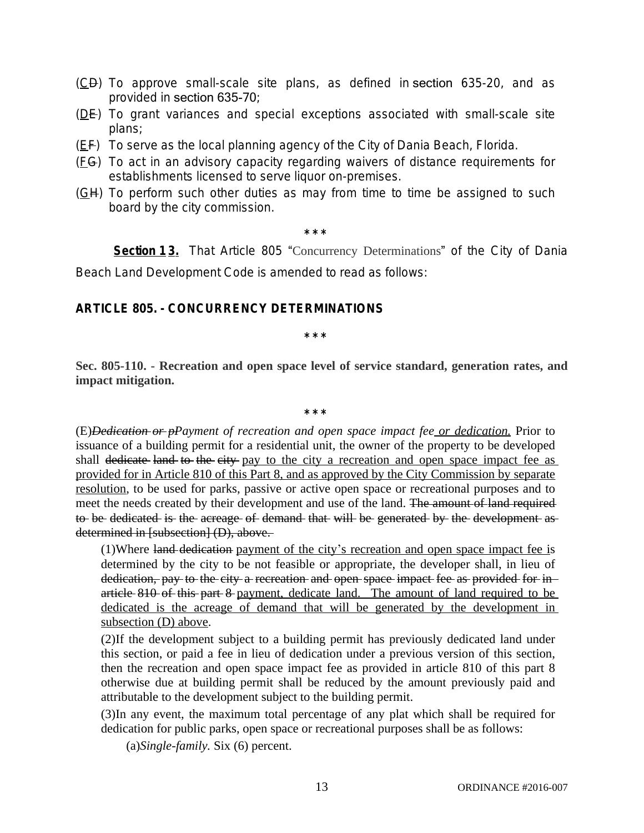- $(\underline{C}\underline{D})$  To approve small-scale site plans, as defined in [section](https://www.municode.com/library/) 635-20, and as provided in [section 635-70](https://www.municode.com/library/);
- $(DE)$  To grant variances and special exceptions associated with small-scale site plans;
- $(EF)$  To serve as the local planning agency of the City of Dania Beach, Florida.
- (FG) To act in an advisory capacity regarding waivers of distance requirements for establishments licensed to serve liquor on-premises.
- (GH) To perform such other duties as may from time to time be assigned to such board by the city commission.

**Section 13.** That Article 805 "Concurrency Determinations" of the City of Dania Beach Land Development Code is amended to read as follows:

# **ARTICLE 805. - CONCURRENCY DETERMINATIONS**

**\* \* \***

**Sec. 805-110. - Recreation and open space level of service standard, generation rates, and impact mitigation.**

**\* \* \***

(E)*Dedication or pPayment of recreation and open space impact fee or dedication.* Prior to issuance of a building permit for a residential unit, the owner of the property to be developed shall dedicate land to the city pay to the city a recreation and open space impact fee as provided for in Article 810 of this Part 8, and as approved by the City Commission by separate resolution, to be used for parks, passive or active open space or recreational purposes and to meet the needs created by their development and use of the land. The amount of land required to be dedicated is the acreage of demand that will be generated by the development as determined in [subsection] (D), above.

(1)Where land dedication payment of the city's recreation and open space impact fee is determined by the city to be not feasible or appropriate, the developer shall, in lieu of dedication, pay to the city a recreation and open space impact fee as provided for inarticle 810 of this part 8 payment, dedicate land. The amount of land required to be dedicated is the acreage of demand that will be generated by the development in subsection (D) above.

(2)If the development subject to a building permit has previously dedicated land under this section, or paid a fee in lieu of dedication under a previous version of this section, then the recreation and open space impact fee as provided in article 810 of this part 8 otherwise due at building permit shall be reduced by the amount previously paid and attributable to the development subject to the building permit.

(3)In any event, the maximum total percentage of any plat which shall be required for dedication for public parks, open space or recreational purposes shall be as follows:

(a)*Single-family.* Six (6) percent.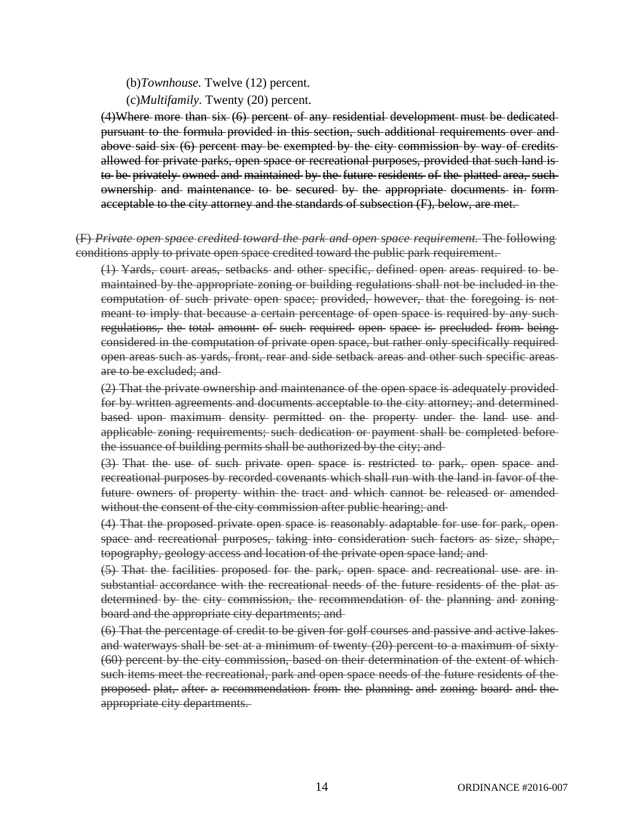#### (b)*Townhouse.* Twelve (12) percent.

#### (c)*Multifamily.* Twenty (20) percent.

(4)Where more than six (6) percent of any residential development must be dedicated pursuant to the formula provided in this section, such additional requirements over and above said six (6) percent may be exempted by the city commission by way of credits allowed for private parks, open space or recreational purposes, provided that such land is to be privately owned and maintained by the future residents of the platted area, such ownership and maintenance to be secured by the appropriate documents in form acceptable to the city attorney and the standards of subsection (F), below, are met.

### (F) *Private open space credited toward the park and open space requirement.* The following conditions apply to private open space credited toward the public park requirement.

(1) Yards, court areas, setbacks and other specific, defined open areas required to be maintained by the appropriate zoning or building regulations shall not be included in the computation of such private open space; provided, however, that the foregoing is not meant to imply that because a certain percentage of open space is required by any such regulations, the total amount of such required open space is precluded from being considered in the computation of private open space, but rather only specifically required open areas such as yards, front, rear and side setback areas and other such specific areas are to be excluded; and

(2) That the private ownership and maintenance of the open space is adequately provided for by written agreements and documents acceptable to the city attorney; and determined based upon maximum density permitted on the property under the land use and applicable zoning requirements; such dedication or payment shall be completed before the issuance of building permits shall be authorized by the city; and

(3) That the use of such private open space is restricted to park, open space and recreational purposes by recorded covenants which shall run with the land in favor of the future owners of property within the tract and which cannot be released or amended without the consent of the city commission after public hearing; and

(4) That the proposed private open space is reasonably adaptable for use for park, open space and recreational purposes, taking into consideration such factors as size, shape, topography, geology access and location of the private open space land; and

(5) That the facilities proposed for the park, open space and recreational use are in substantial accordance with the recreational needs of the future residents of the plat as determined by the city commission, the recommendation of the planning and zoning board and the appropriate city departments; and

(6) That the percentage of credit to be given for golf courses and passive and active lakes and waterways shall be set at a minimum of twenty (20) percent to a maximum of sixty (60) percent by the city commission, based on their determination of the extent of which such items meet the recreational, park and open space needs of the future residents of the proposed plat, after a recommendation from the planning and zoning board and the appropriate city departments.